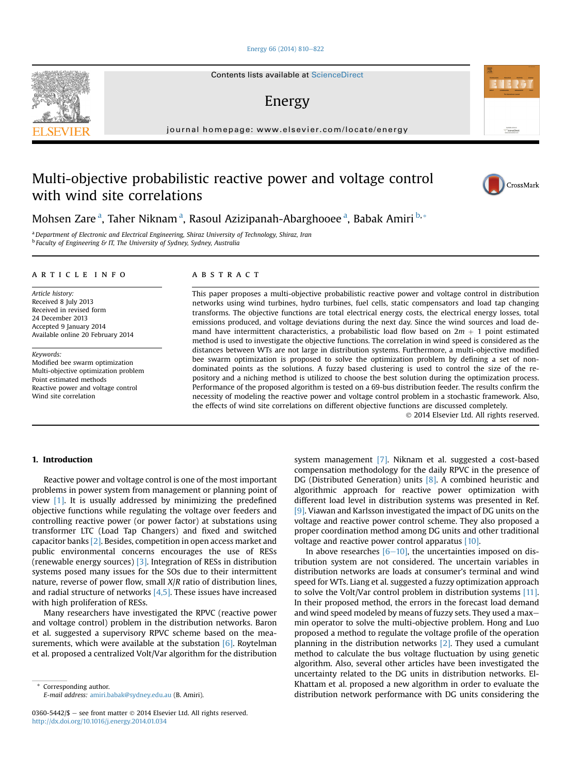#### [Energy 66 \(2014\) 810](http://dx.doi.org/10.1016/j.energy.2014.01.034)-[822](http://dx.doi.org/10.1016/j.energy.2014.01.034)

Contents lists available at ScienceDirect

## Energy

journal homepage: [www.elsevier.com/locate/energy](http://www.elsevier.com/locate/energy)

## Multi-objective probabilistic reactive power and voltage control with wind site correlations

Mohsen Zare <sup>a</sup>, Taher Niknam <sup>a</sup>, Rasoul Azizipanah-Abarghooee <sup>a</sup>, Babak Amiri <sup>b,</sup>\*

<sup>a</sup> Department of Electronic and Electrical Engineering, Shiraz University of Technology, Shiraz, Iran <sup>b</sup> Faculty of Engineering & IT, The University of Sydney, Sydney, Australia

#### article info

Article history: Received 8 July 2013 Received in revised form 24 December 2013 Accepted 9 January 2014 Available online 20 February 2014

Keywords: Modified bee swarm optimization Multi-objective optimization problem Point estimated methods Reactive power and voltage control Wind site correlation

#### ABSTRACT

This paper proposes a multi-objective probabilistic reactive power and voltage control in distribution networks using wind turbines, hydro turbines, fuel cells, static compensators and load tap changing transforms. The objective functions are total electrical energy costs, the electrical energy losses, total emissions produced, and voltage deviations during the next day. Since the wind sources and load demand have intermittent characteristics, a probabilistic load flow based on  $2m + 1$  point estimated method is used to investigate the objective functions. The correlation in wind speed is considered as the distances between WTs are not large in distribution systems. Furthermore, a multi-objective modified bee swarm optimization is proposed to solve the optimization problem by defining a set of nondominated points as the solutions. A fuzzy based clustering is used to control the size of the repository and a niching method is utilized to choose the best solution during the optimization process. Performance of the proposed algorithm is tested on a 69-bus distribution feeder. The results confirm the necessity of modeling the reactive power and voltage control problem in a stochastic framework. Also, the effects of wind site correlations on different objective functions are discussed completely.

2014 Elsevier Ltd. All rights reserved.

#### 1. Introduction

Reactive power and voltage control is one of the most important problems in power system from management or planning point of view [1]. It is usually addressed by minimizing the predefined objective functions while regulating the voltage over feeders and controlling reactive power (or power factor) at substations using transformer LTC (Load Tap Changers) and fixed and switched capacitor banks [2]. Besides, competition in open access market and public environmental concerns encourages the use of RESs (renewable energy sources) [3]. Integration of RESs in distribution systems posed many issues for the SOs due to their intermittent nature, reverse of power flow, small X/R ratio of distribution lines, and radial structure of networks  $[4,5]$ . These issues have increased with high proliferation of RESs.

Many researchers have investigated the RPVC (reactive power and voltage control) problem in the distribution networks. Baron et al. suggested a supervisory RPVC scheme based on the measurements, which were available at the substation  $[6]$ . Roytelman et al. proposed a centralized Volt/Var algorithm for the distribution

Corresponding author. E-mail address: [amiri.babak@sydney.edu.au](mailto:amiri.babak@sydney.edu.au) (B. Amiri). system management [7]. Niknam et al. suggested a cost-based compensation methodology for the daily RPVC in the presence of DG (Distributed Generation) units [8]. A combined heuristic and algorithmic approach for reactive power optimization with different load level in distribution systems was presented in Ref. [9]. Viawan and Karlsson investigated the impact of DG units on the voltage and reactive power control scheme. They also proposed a proper coordination method among DG units and other traditional voltage and reactive power control apparatus [10].

In above researches  $[6-10]$ , the uncertainties imposed on distribution system are not considered. The uncertain variables in distribution networks are loads at consumer's terminal and wind speed for WTs. Liang et al. suggested a fuzzy optimization approach to solve the Volt/Var control problem in distribution systems [11]. In their proposed method, the errors in the forecast load demand and wind speed modeled by means of fuzzy sets. They used a maxmin operator to solve the multi-objective problem. Hong and Luo proposed a method to regulate the voltage profile of the operation planning in the distribution networks  $[2]$ . They used a cumulant method to calculate the bus voltage fluctuation by using genetic algorithm. Also, several other articles have been investigated the uncertainty related to the DG units in distribution networks. El-Khattam et al. proposed a new algorithm in order to evaluate the distribution network performance with DG units considering the





Automotive at<br>ScienceDire

<sup>0360-5442/\$ -</sup> see front matter  $\odot$  2014 Elsevier Ltd. All rights reserved. <http://dx.doi.org/10.1016/j.energy.2014.01.034>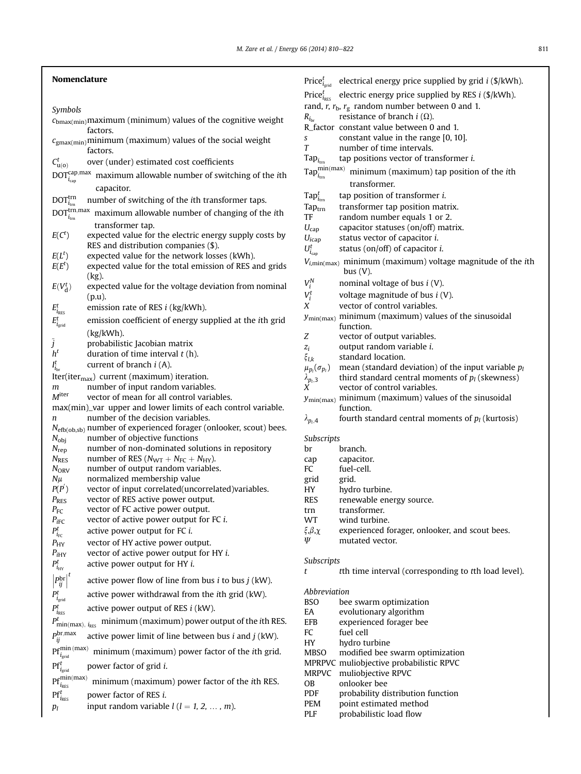### Nomenclature

Symbols

|                                                               | $c_{bmax(min)}$ maximum (minimum) values of the cognitive weight                               |
|---------------------------------------------------------------|------------------------------------------------------------------------------------------------|
|                                                               | factors.                                                                                       |
|                                                               | $c_{\text{gmax(min)}}$ minimum (maximum) values of the social weight<br>factors.               |
| $C_{\mathrm{u}(\mathbf{o})}^t$                                | over (under) estimated cost coefficients                                                       |
| $\text{DOT}^{\text{cap}, \text{max}}_{i_{\text{cap}}}$        | maximum allowable number of switching of the ith                                               |
|                                                               | capacitor.                                                                                     |
| $\text{DOT}^\text{trn}_{i_\text{trn}}$                        | number of switching of the ith transformer taps.                                               |
| $\mathrm{DOT}_{i_{\mathrm{trn}}}^{\mathrm{trn},\mathrm{max}}$ | maximum allowable number of changing of the ith                                                |
|                                                               | transformer tap.                                                                               |
| $E(C^t)$                                                      | expected value for the electric energy supply costs by<br>RES and distribution companies (\$). |
| $E(L^t)$                                                      | expected value for the network losses (kWh).                                                   |
| $E(E^t)$                                                      | expected value for the total emission of RES and grids                                         |
|                                                               | $(kg)$ .                                                                                       |
| $E(V_d^t)$                                                    | expected value for the voltage deviation from nominal<br>$(p.u)$ .                             |
|                                                               | emission rate of RES <i>i</i> (kg/kWh).                                                        |
| $E^{t}_{i_{\rm RES}}$                                         | emission coefficient of energy supplied at the ith grid                                        |
| $E_{i_{\text{grid}}}^t$                                       |                                                                                                |
|                                                               | (kg/kWh).<br>probabilistic Jacobian matrix                                                     |
| $\tilde{j}_{h^t}$                                             | duration of time interval $t(h)$ .                                                             |
| $I_{i_{\text{br}}}^t$                                         | current of branch $i(A)$ .                                                                     |
|                                                               | Iter(iter <sub>max</sub> ) current (maximum) iteration.                                        |
| m                                                             | number of input random variables.                                                              |
| M <sup>iter</sup>                                             | vector of mean for all control variables.                                                      |
|                                                               | max(min)_var upper and lower limits of each control variable.                                  |
| n                                                             | number of the decision variables.                                                              |
|                                                               | $N_{\text{efb}(\text{ob},\text{sb})}$ number of experienced forager (onlooker, scout) bees.    |
| $N_{\text{obj}}$<br>$N_{\text{rep}}$                          | number of objective functions<br>number of non-dominated solutions in repository               |
| $N_{RES}$                                                     | number of RES ( $N_{\text{WT}} + N_{\text{FC}} + N_{\text{HY}}$ ).                             |
| $N_{ORV}$                                                     | number of output random variables.                                                             |
| $N\mu$                                                        | normalized membership value                                                                    |
| $P(P^{'})$                                                    | vector of input correlated(uncorrelated)variables.                                             |
| $P_{RES}$                                                     | vector of RES active power output.                                                             |
| $P_{\text{FC}}$                                               | vector of FC active power output.<br>vector of active power output for FC i.                   |
| $P_{\text{IFC}}$                                              | active power output for FC i.                                                                  |
| $P_{i_{\text{FC}}}^t$                                         | vector of HY active power output.                                                              |
| $P_{\rm HY}$<br>$P_{iHY}$                                     | vector of active power output for HY i.                                                        |
| $P_{i_{\rm HV}}^t$                                            | active power output for HY <i>i</i> .                                                          |
| $P_r^{\text{br}} ^t$<br>$\eta$                                | active power flow of line from bus $i$ to bus $j$ (kW).                                        |
| Ρŗ<br>$i_{\text{grid}}$                                       | active power withdrawal from the <i>i</i> th grid (kW).                                        |
| $P_{i_{\rm RES}}^t$                                           | active power output of RES <i>i</i> (kW).                                                      |
| $P_{\min(\text{max}), i_{\text{RES}}}^{t}$                    | minimum (maximum) power output of the ith RES.                                                 |
| $P^{\text{br,max}}$<br>$\eta$                                 | active power limit of line between bus $i$ and $j$ (kW).                                       |
| $Pf^{min \, (max)}$<br>$l_{\rm grid}$                         | minimum (maximum) power factor of the <i>ith</i> grid.                                         |
| $i_{\rm grid}$                                                | power factor of grid <i>i</i> .                                                                |
| $Pf^{min(max)}$<br>$i_{RES}$                                  | minimum (maximum) power factor of the <i>i</i> th RES.                                         |
| ${\rm Pf}^t_{i_{\rm RES}}$                                    | power factor of RES <i>i</i> .                                                                 |
| $p_l$                                                         | input random variable $l$ ( $l = 1, 2, , m$ ).                                                 |

|                                                                                   |                                                                | Price $_{i_{\text{grid}}}^t$ electrical energy price supplied by grid <i>i</i> (\$/kWh). |  |
|-----------------------------------------------------------------------------------|----------------------------------------------------------------|------------------------------------------------------------------------------------------|--|
|                                                                                   | Price $_{i_{RFS}}^t$                                           | electric energy price supplied by RES $i$ (\$/kWh).                                      |  |
|                                                                                   |                                                                | rand, $r$ , $r_b$ , $r_g$ random number between 0 and 1.                                 |  |
|                                                                                   | $R_{i_{\text{br}}}$                                            | resistance of branch $i(\Omega)$ .                                                       |  |
|                                                                                   |                                                                | R_factor constant value between 0 and 1.                                                 |  |
|                                                                                   | S                                                              | constant value in the range [0, 10].                                                     |  |
|                                                                                   | T                                                              | number of time intervals.                                                                |  |
|                                                                                   | $\text{Tap}_{i_{\text{trn}}}$                                  | tap positions vector of transformer <i>i</i> .                                           |  |
|                                                                                   | $\mathsf{Tap}^{\mathsf{min}(\mathsf{max})}_{i_{\mathsf{trn}}}$ | minimum (maximum) tap position of the ith                                                |  |
|                                                                                   |                                                                | transformer.                                                                             |  |
|                                                                                   |                                                                |                                                                                          |  |
|                                                                                   | $\text{Tap}_{i_{\text{rms}}}^t$                                | tap position of transformer i.                                                           |  |
|                                                                                   | $\text{Tap}_{\text{trn}}$<br>TF                                | transformer tap position matrix.                                                         |  |
|                                                                                   | $U_{cap}$                                                      | random number equals 1 or 2.<br>capacitor statuses (on/off) matrix.                      |  |
|                                                                                   | $U_{icap}$                                                     | status vector of capacitor i.                                                            |  |
|                                                                                   | $U_{i_{cap}}^t$                                                | status (on/off) of capacitor $i$ .                                                       |  |
|                                                                                   |                                                                |                                                                                          |  |
| $V_{i,\text{min(max)}}$ minimum (maximum) voltage magnitude of the ith<br>bus(V). |                                                                |                                                                                          |  |
|                                                                                   | $V_i^N$                                                        | nominal voltage of bus $i$ (V).                                                          |  |
|                                                                                   | $V_i^t$                                                        | voltage magnitude of bus $i(V)$ .                                                        |  |
|                                                                                   | X                                                              | vector of control variables.                                                             |  |
|                                                                                   |                                                                | $y_{\text{min(max)}}$ minimum (maximum) values of the sinusoidal                         |  |
|                                                                                   |                                                                | function.                                                                                |  |
|                                                                                   | Ζ                                                              | vector of output variables.                                                              |  |
|                                                                                   | $z_i$                                                          | output random variable i.                                                                |  |
|                                                                                   | $\xi_{l,k}$                                                    | standard location.                                                                       |  |
|                                                                                   |                                                                | $\mu_{p_i}(\sigma_{p_i})$ mean (standard deviation) of the input variable $p_i$          |  |
|                                                                                   | $\lambda_{p_l,3}$<br>X                                         | third standard central moments of $p_l$ (skewness)<br>vector of control variables.       |  |
|                                                                                   |                                                                | $y_{\text{min(max)}}$ minimum (maximum) values of the sinusoidal                         |  |
|                                                                                   |                                                                | function.                                                                                |  |
|                                                                                   | $\lambda_{p_i,4}$                                              | fourth standard central moments of $p_l$ (kurtosis)                                      |  |
| Subscripts                                                                        |                                                                |                                                                                          |  |
|                                                                                   | br                                                             | branch.                                                                                  |  |
|                                                                                   | cap                                                            | capacitor.                                                                               |  |
|                                                                                   | FC                                                             | fuel-cell.                                                                               |  |
|                                                                                   | grid                                                           | grid.                                                                                    |  |
|                                                                                   | HY<br>RES                                                      | hydro turbine.<br>renewable energy source.                                               |  |
|                                                                                   | trn                                                            | transformer.                                                                             |  |
|                                                                                   | WT                                                             | wind turbine.                                                                            |  |
|                                                                                   | $\xi, \beta, \chi$                                             | experienced forager, onlooker, and scout bees.                                           |  |
|                                                                                   | Ψ                                                              | mutated vector.                                                                          |  |
|                                                                                   | Subscripts                                                     |                                                                                          |  |
|                                                                                   | t                                                              | tth time interval (corresponding to tth load level).                                     |  |
|                                                                                   |                                                                |                                                                                          |  |
|                                                                                   | Abbreviation                                                   |                                                                                          |  |
|                                                                                   | <b>BSO</b>                                                     | bee swarm optimization                                                                   |  |
|                                                                                   | EA                                                             | evolutionary algorithm                                                                   |  |
|                                                                                   | EFB<br>FC                                                      | experienced forager bee<br>fuel cell                                                     |  |
|                                                                                   | HY                                                             | hydro turbine                                                                            |  |
|                                                                                   | MBSO                                                           | modified bee swarm optimization                                                          |  |
|                                                                                   |                                                                |                                                                                          |  |

- 
- MPRPVC muliobjective probabilistic RPVC
- MRPVC muliobjective RPVC
- OB onlooker bee<br>PDF probability display
- PDF probability distribution function<br>PEM point estimated method
- 
- PEM point estimated method<br>PLF probabilistic load flow probabilistic load flow